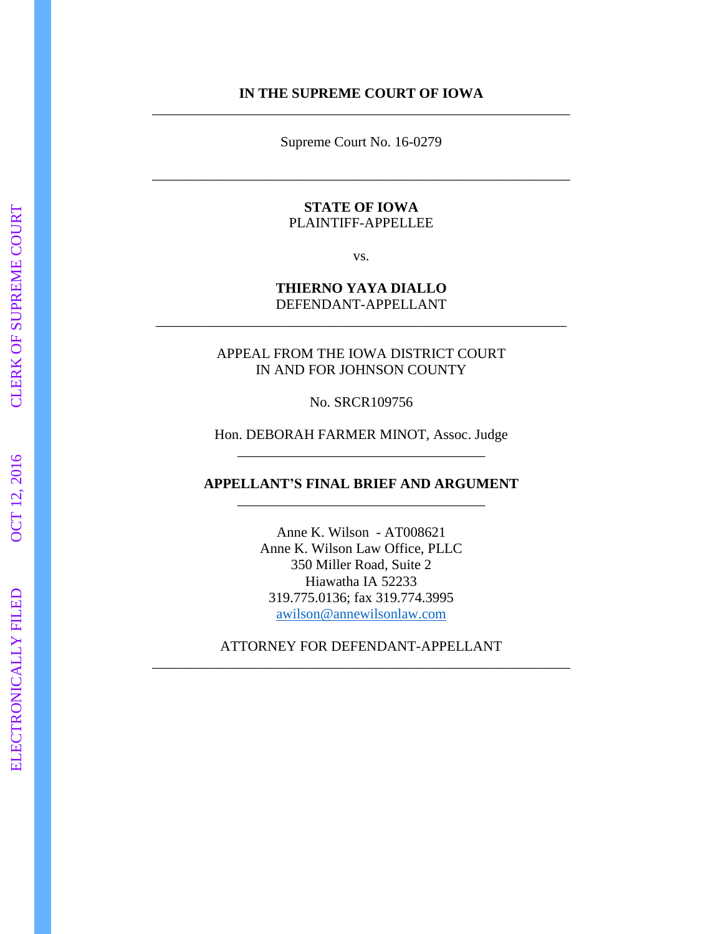#### **IN THE SUPREME COURT OF IOWA** \_\_\_\_\_\_\_\_\_\_\_\_\_\_\_\_\_\_\_\_\_\_\_\_\_\_\_\_\_\_\_\_\_\_\_\_\_\_\_\_\_\_\_\_\_\_\_\_\_\_\_\_\_\_\_\_\_\_\_

Supreme Court No. 16 -0279

\_\_\_\_\_\_\_\_\_\_\_\_\_\_\_\_\_\_\_\_\_\_\_\_\_\_\_\_\_\_\_\_\_\_\_\_\_\_\_\_\_\_\_\_\_\_\_\_\_\_\_\_\_\_\_\_\_\_\_

#### **STATE OF IOWA** PLAINTIFF -APPELLEE

vs.

#### **THIERNO YAYA DIALLO** DEFENDANT -APPELLANT \_\_\_\_\_\_\_\_\_\_\_\_\_\_\_\_\_\_\_\_\_\_\_\_\_\_\_\_\_\_\_\_\_\_\_\_\_\_\_\_\_\_\_\_\_\_\_\_\_\_\_\_\_\_\_\_\_\_

APPEAL FROM THE IOWA DISTRICT COURT IN AND FOR JOHNSON COUNTY

No. SRCR109756

Hon. DEBORAH FARMER MINOT, Assoc. Judge \_\_\_\_\_\_\_\_\_\_\_\_\_\_\_\_\_\_\_\_\_\_\_\_\_\_\_\_\_\_\_\_\_\_\_

**APPELLANT'S FINAL BRIEF AND ARGUMENT** \_\_\_\_\_\_\_\_\_\_\_\_\_\_\_\_\_\_\_\_\_\_\_\_\_\_\_\_\_\_\_\_\_\_\_

> Anne K. Wilson - AT008621 Anne K. Wilson Law Office, PLLC 350 Miller Road, Suite 2 Hiawatha IA 52233 319.775.0136; fax 319.774.3995 awilson@annewilsonlaw.com

ATTORNEY FOR DEFENDANT -APPELLANT \_\_\_\_\_\_\_\_\_\_\_\_\_\_\_\_\_\_\_\_\_\_\_\_\_\_\_\_\_\_\_\_\_\_\_\_\_\_\_\_\_\_\_\_\_\_\_\_\_\_\_\_\_\_\_\_\_\_\_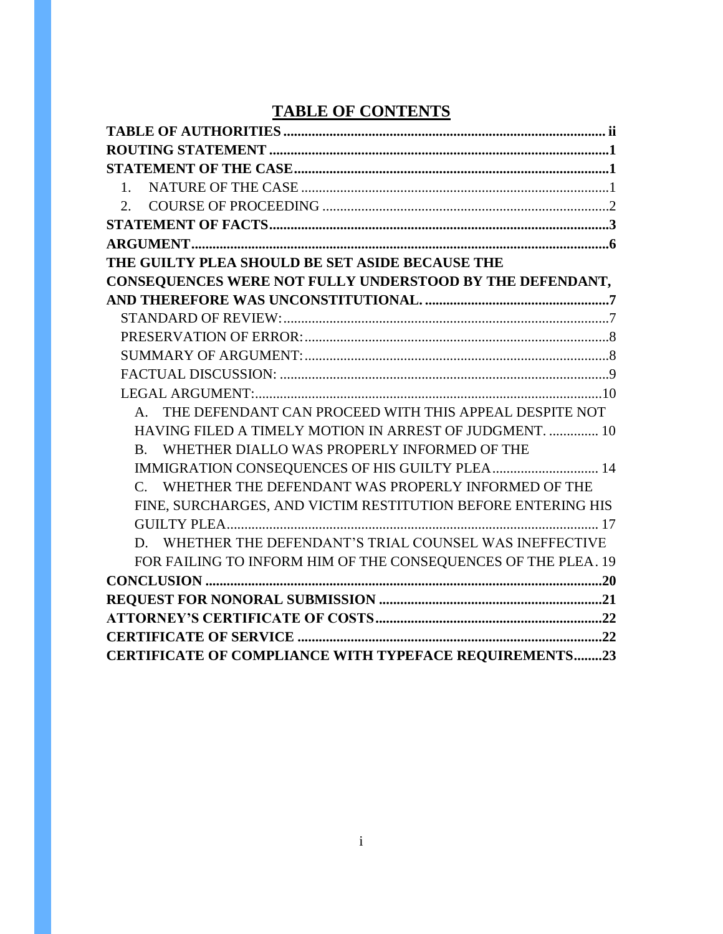# **TABLE OF CONTENTS**

| THE GUILTY PLEA SHOULD BE SET ASIDE BECAUSE THE               |  |
|---------------------------------------------------------------|--|
| CONSEQUENCES WERE NOT FULLY UNDERSTOOD BY THE DEFENDANT,      |  |
|                                                               |  |
|                                                               |  |
|                                                               |  |
|                                                               |  |
|                                                               |  |
|                                                               |  |
| A. THE DEFENDANT CAN PROCEED WITH THIS APPEAL DESPITE NOT     |  |
| HAVING FILED A TIMELY MOTION IN ARREST OF JUDGMENT.  10       |  |
| B. WHETHER DIALLO WAS PROPERLY INFORMED OF THE                |  |
| IMMIGRATION CONSEQUENCES OF HIS GUILTY PLEA 14                |  |
| C. WHETHER THE DEFENDANT WAS PROPERLY INFORMED OF THE         |  |
| FINE, SURCHARGES, AND VICTIM RESTITUTION BEFORE ENTERING HIS  |  |
|                                                               |  |
| D. WHETHER THE DEFENDANT'S TRIAL COUNSEL WAS INEFFECTIVE      |  |
| FOR FAILING TO INFORM HIM OF THE CONSEQUENCES OF THE PLEA. 19 |  |
|                                                               |  |
|                                                               |  |
|                                                               |  |
|                                                               |  |
| <b>CERTIFICATE OF COMPLIANCE WITH TYPEFACE REQUIREMENTS23</b> |  |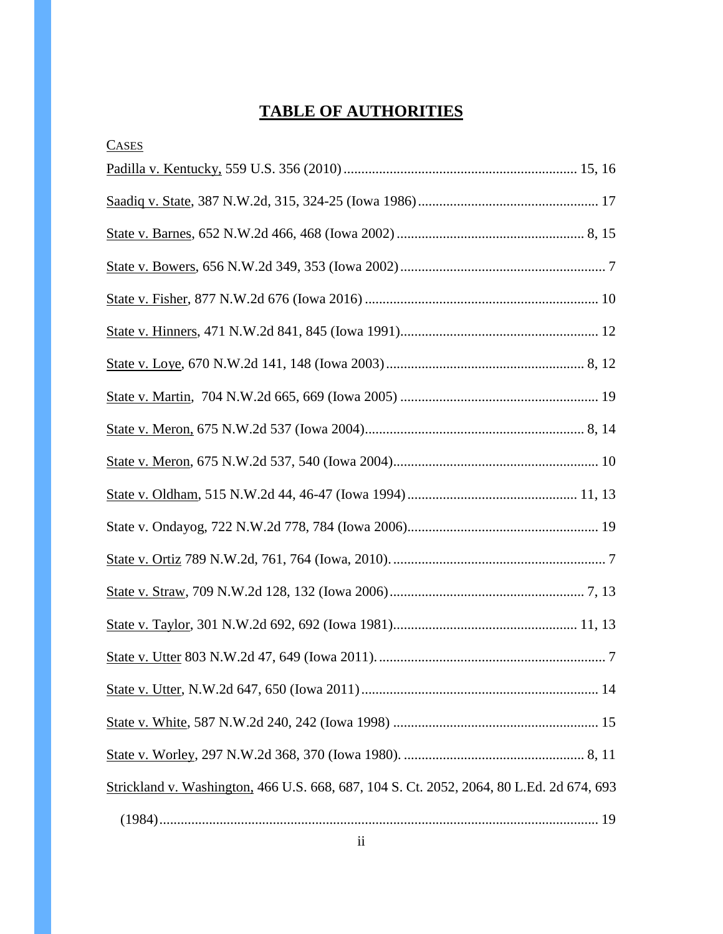# **TABLE OF AUTHORITIES**

| <b>CASES</b>                                                                             |
|------------------------------------------------------------------------------------------|
|                                                                                          |
|                                                                                          |
|                                                                                          |
|                                                                                          |
|                                                                                          |
|                                                                                          |
|                                                                                          |
|                                                                                          |
|                                                                                          |
|                                                                                          |
|                                                                                          |
|                                                                                          |
|                                                                                          |
|                                                                                          |
|                                                                                          |
|                                                                                          |
|                                                                                          |
|                                                                                          |
|                                                                                          |
| Strickland v. Washington, 466 U.S. 668, 687, 104 S. Ct. 2052, 2064, 80 L.Ed. 2d 674, 693 |
|                                                                                          |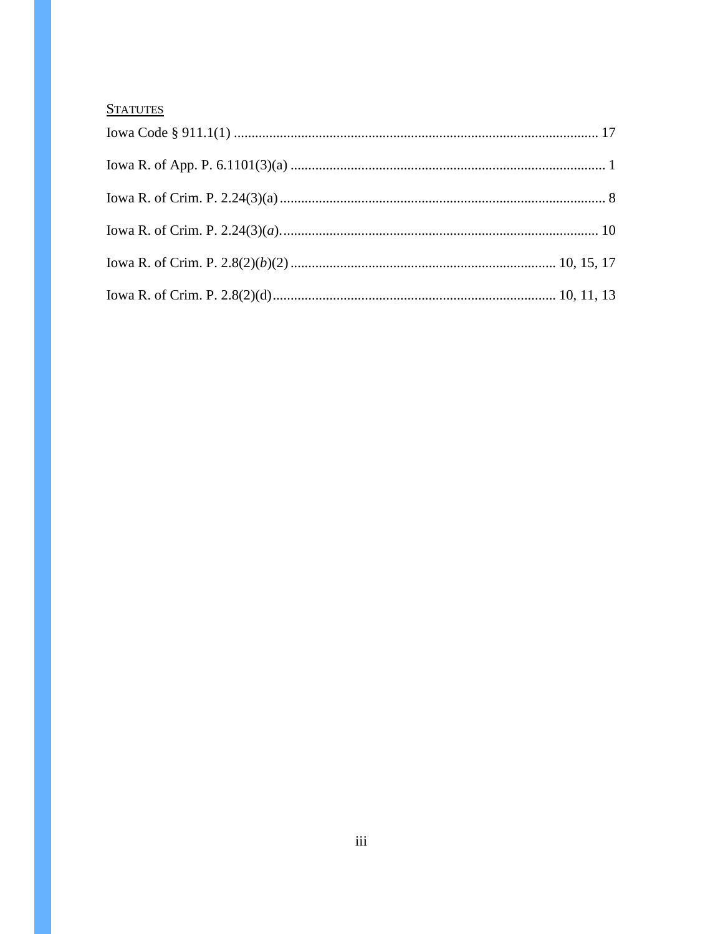#### **STATUTES**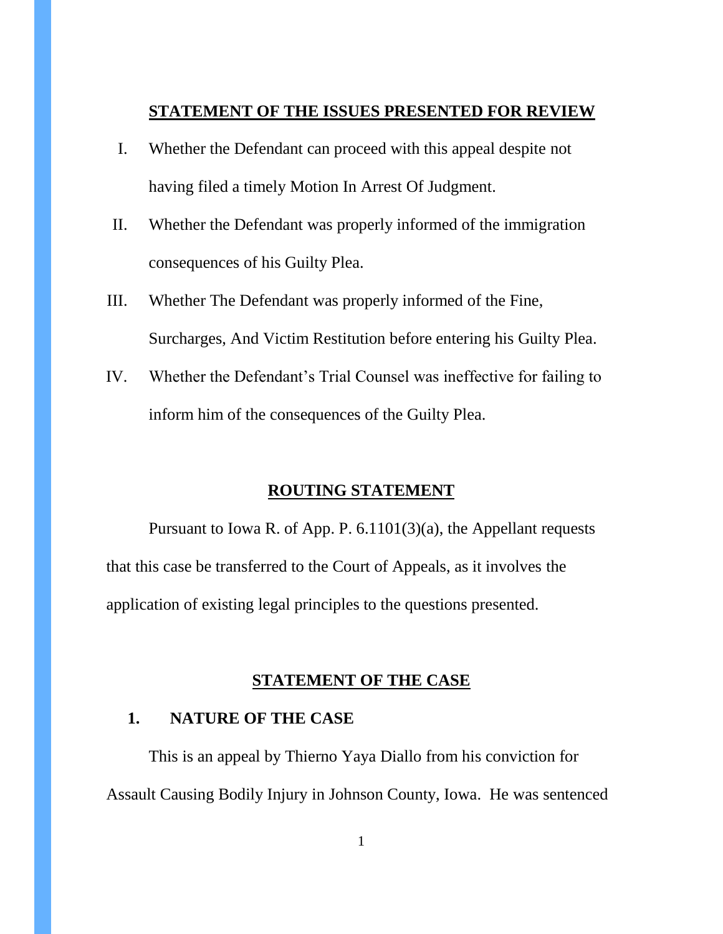#### **STATEMENT OF THE ISSUES PRESENTED FOR REVIEW**

- I. Whether the Defendant can proceed with this appeal despite not having filed a timely Motion In Arrest Of Judgment.
- II. Whether the Defendant was properly informed of the immigration consequences of his Guilty Plea.
- III. Whether The Defendant was properly informed of the Fine, Surcharges, And Victim Restitution before entering his Guilty Plea.
- IV. Whether the Defendant's Trial Counsel was ineffective for failing to inform him of the consequences of the Guilty Plea.

#### **ROUTING STATEMENT**

Pursuant to Iowa R. of App. P. 6.1101(3)(a), the Appellant requests that this case be transferred to the Court of Appeals, as it involves the application of existing legal principles to the questions presented.

#### **STATEMENT OF THE CASE**

# **1. NATURE OF THE CASE**

This is an appeal by Thierno Yaya Diallo from his conviction for Assault Causing Bodily Injury in Johnson County, Iowa. He was sentenced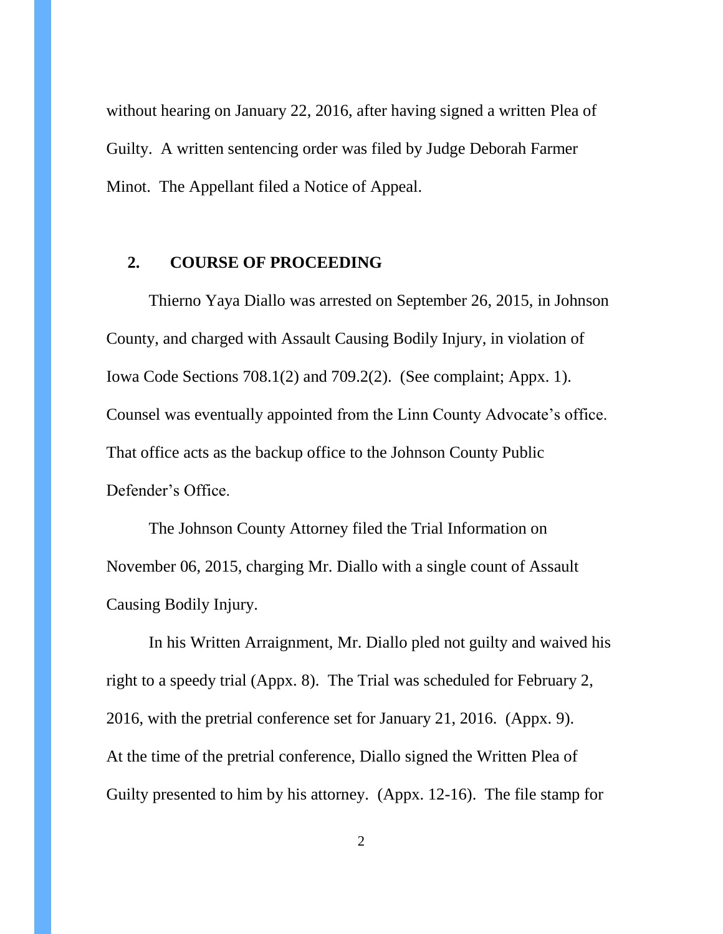without hearing on January 22, 2016, after having signed a written Plea of Guilty. A written sentencing order was filed by Judge Deborah Farmer Minot. The Appellant filed a Notice of Appeal.

# **2. COURSE OF PROCEEDING**

Thierno Yaya Diallo was arrested on September 26, 2015, in Johnson County, and charged with Assault Causing Bodily Injury, in violation of Iowa Code Sections 708.1(2) and 709.2(2). (See complaint; Appx. 1). Counsel was eventually appointed from the Linn County Advocate's office. That office acts as the backup office to the Johnson County Public Defender's Office.

The Johnson County Attorney filed the Trial Information on November 06, 2015, charging Mr. Diallo with a single count of Assault Causing Bodily Injury.

In his Written Arraignment, Mr. Diallo pled not guilty and waived his right to a speedy trial (Appx. 8). The Trial was scheduled for February 2, 2016, with the pretrial conference set for January 21, 2016. (Appx. 9). At the time of the pretrial conference, Diallo signed the Written Plea of Guilty presented to him by his attorney. (Appx. 12-16). The file stamp for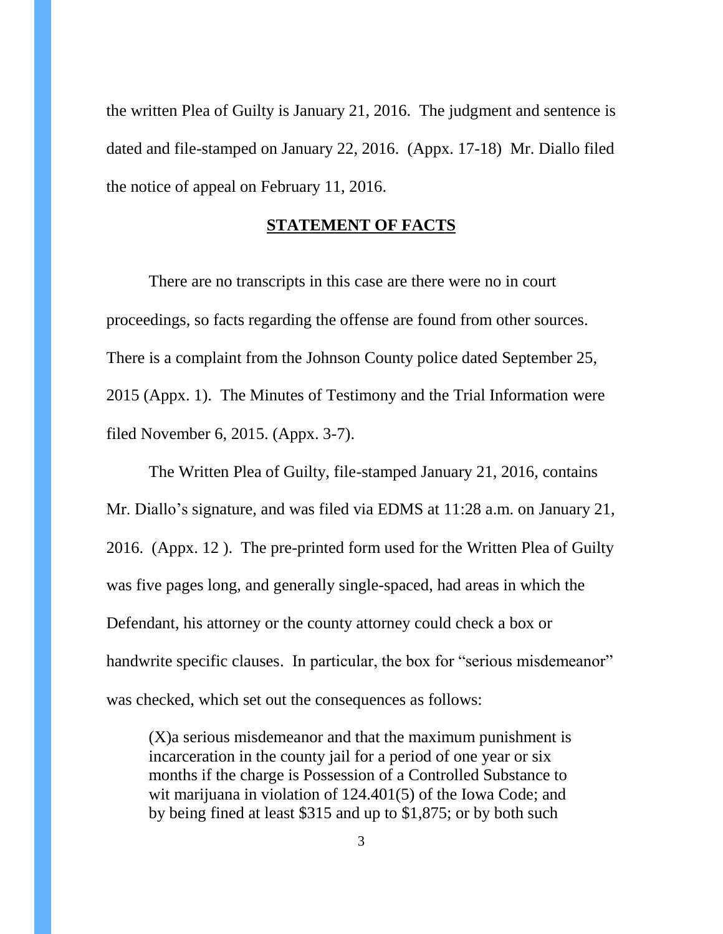the written Plea of Guilty is January 21, 2016. The judgment and sentence is dated and file-stamped on January 22, 2016. (Appx. 17-18) Mr. Diallo filed the notice of appeal on February 11, 2016.

#### **STATEMENT OF FACTS**

There are no transcripts in this case are there were no in court proceedings, so facts regarding the offense are found from other sources. There is a complaint from the Johnson County police dated September 25, 2015 (Appx. 1). The Minutes of Testimony and the Trial Information were filed November 6, 2015. (Appx. 3-7).

The Written Plea of Guilty, file-stamped January 21, 2016, contains Mr. Diallo's signature, and was filed via EDMS at 11:28 a.m. on January 21, 2016. (Appx. 12 ). The pre-printed form used for the Written Plea of Guilty was five pages long, and generally single-spaced, had areas in which the Defendant, his attorney or the county attorney could check a box or handwrite specific clauses. In particular, the box for "serious misdemeanor" was checked, which set out the consequences as follows:

(X)a serious misdemeanor and that the maximum punishment is incarceration in the county jail for a period of one year or six months if the charge is Possession of a Controlled Substance to wit marijuana in violation of 124.401(5) of the Iowa Code; and by being fined at least \$315 and up to \$1,875; or by both such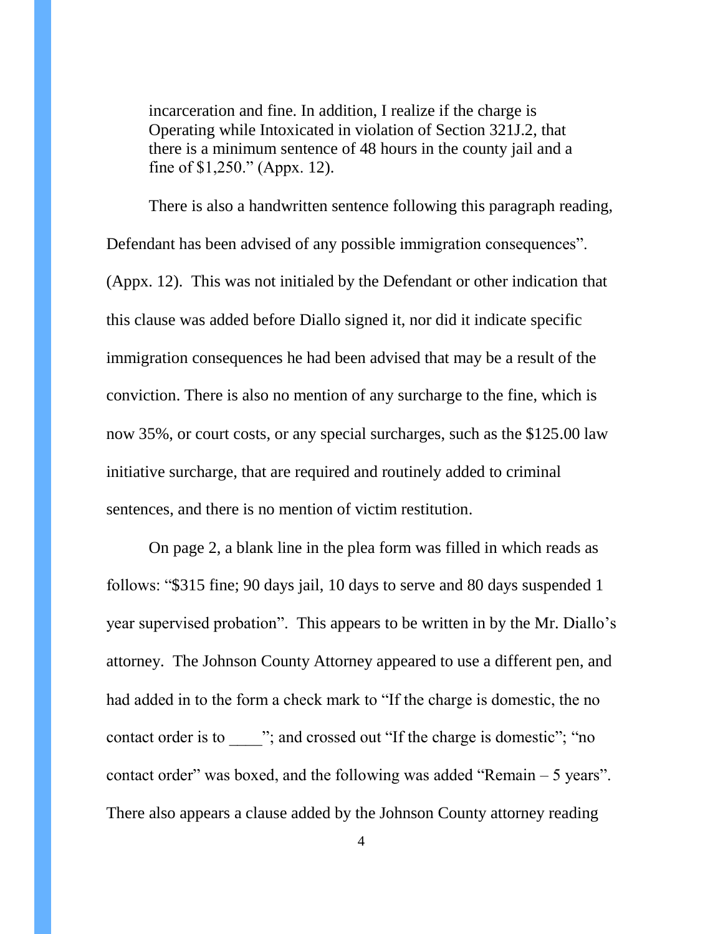incarceration and fine. In addition, I realize if the charge is Operating while Intoxicated in violation of Section 321J.2, that there is a minimum sentence of 48 hours in the county jail and a fine of \$1,250." (Appx. 12).

There is also a handwritten sentence following this paragraph reading, Defendant has been advised of any possible immigration consequences". (Appx. 12). This was not initialed by the Defendant or other indication that this clause was added before Diallo signed it, nor did it indicate specific immigration consequences he had been advised that may be a result of the conviction. There is also no mention of any surcharge to the fine, which is now 35%, or court costs, or any special surcharges, such as the \$125.00 law initiative surcharge, that are required and routinely added to criminal sentences, and there is no mention of victim restitution.

On page 2, a blank line in the plea form was filled in which reads as follows: "\$315 fine; 90 days jail, 10 days to serve and 80 days suspended 1 year supervised probation". This appears to be written in by the Mr. Diallo's attorney. The Johnson County Attorney appeared to use a different pen, and had added in to the form a check mark to "If the charge is domestic, the no contact order is to  $\cdots$ ; and crossed out "If the charge is domestic"; "no contact order" was boxed, and the following was added "Remain  $-5$  years". There also appears a clause added by the Johnson County attorney reading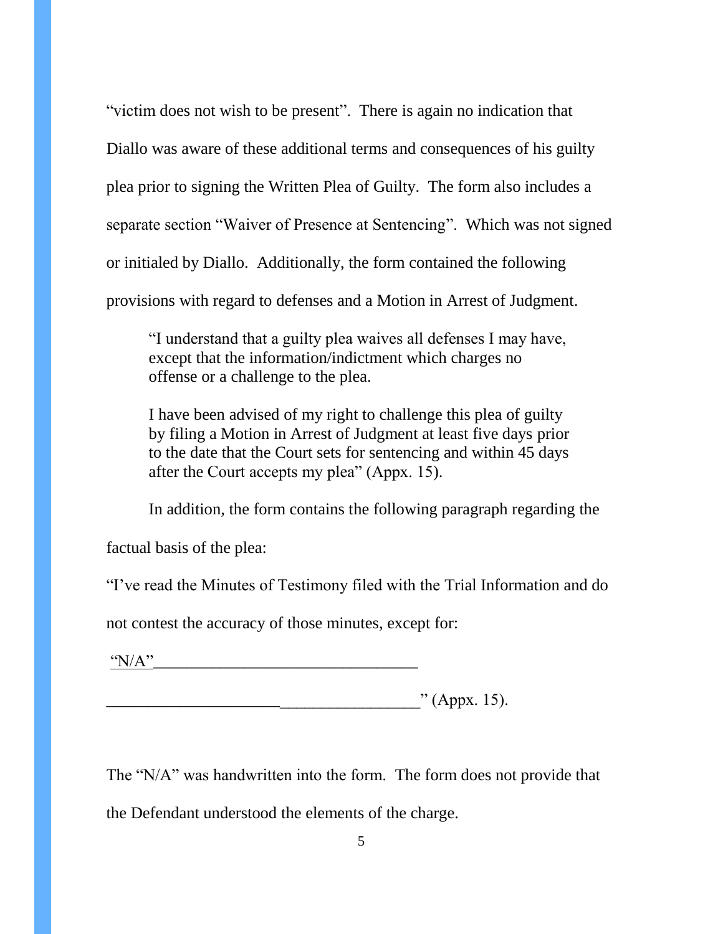"victim does not wish to be present". There is again no indication that Diallo was aware of these additional terms and consequences of his guilty plea prior to signing the Written Plea of Guilty. The form also includes a separate section "Waiver of Presence at Sentencing". Which was not signed or initialed by Diallo. Additionally, the form contained the following provisions with regard to defenses and a Motion in Arrest of Judgment.

"I understand that a guilty plea waives all defenses I may have, except that the information/indictment which charges no offense or a challenge to the plea.

I have been advised of my right to challenge this plea of guilty by filing a Motion in Arrest of Judgment at least five days prior to the date that the Court sets for sentencing and within 45 days after the Court accepts my plea" (Appx. 15).

In addition, the form contains the following paragraph regarding the

factual basis of the plea:

"I've read the Minutes of Testimony filed with the Trial Information and do

not contest the accuracy of those minutes, except for:

"N/A"\_\_\_\_\_\_\_\_\_\_\_\_\_\_\_\_\_\_\_\_\_\_\_\_\_\_\_\_\_\_\_\_

 $\therefore$  (Appx. 15).

The "N/A" was handwritten into the form. The form does not provide that the Defendant understood the elements of the charge.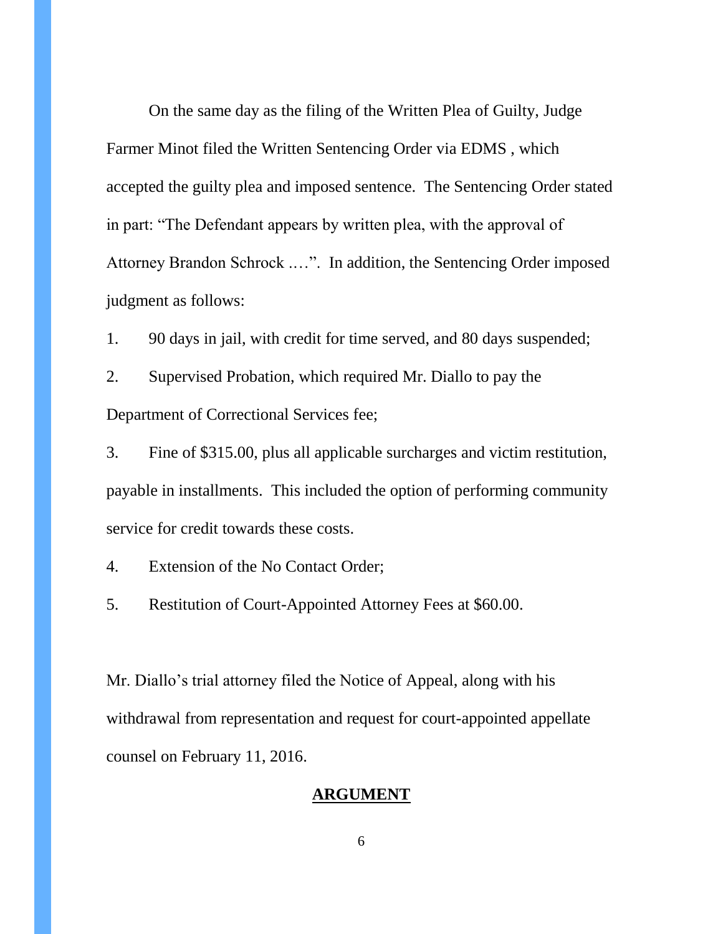On the same day as the filing of the Written Plea of Guilty, Judge Farmer Minot filed the Written Sentencing Order via EDMS , which accepted the guilty plea and imposed sentence. The Sentencing Order stated in part: "The Defendant appears by written plea, with the approval of Attorney Brandon Schrock .…". In addition, the Sentencing Order imposed judgment as follows:

1. 90 days in jail, with credit for time served, and 80 days suspended;

2. Supervised Probation, which required Mr. Diallo to pay the Department of Correctional Services fee;

3. Fine of \$315.00, plus all applicable surcharges and victim restitution, payable in installments. This included the option of performing community service for credit towards these costs.

4. Extension of the No Contact Order;

5. Restitution of Court-Appointed Attorney Fees at \$60.00.

Mr. Diallo's trial attorney filed the Notice of Appeal, along with his withdrawal from representation and request for court-appointed appellate counsel on February 11, 2016.

#### **ARGUMENT**

6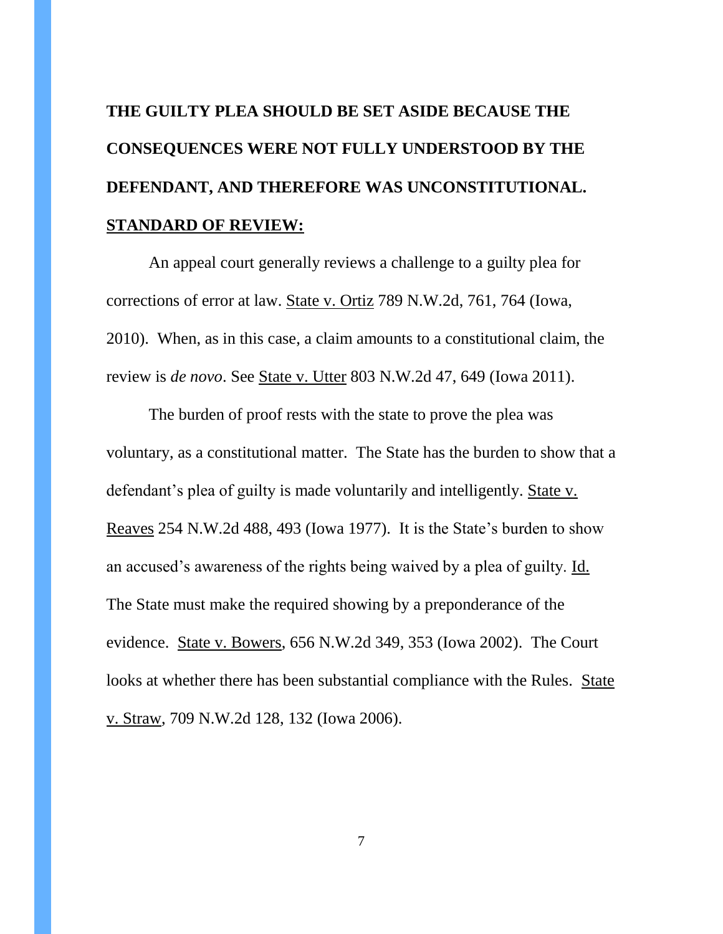# **THE GUILTY PLEA SHOULD BE SET ASIDE BECAUSE THE CONSEQUENCES WERE NOT FULLY UNDERSTOOD BY THE DEFENDANT, AND THEREFORE WAS UNCONSTITUTIONAL. STANDARD OF REVIEW:**

An appeal court generally reviews a challenge to a guilty plea for corrections of error at law. State v. Ortiz 789 N.W.2d, 761, 764 (Iowa, 2010). When, as in this case, a claim amounts to a constitutional claim, the review is *de novo*. See State v. Utter 803 N.W.2d 47, 649 (Iowa 2011).

The burden of proof rests with the state to prove the plea was voluntary, as a constitutional matter. The State has the burden to show that a defendant's plea of guilty is made voluntarily and intelligently. State v. Reaves 254 N.W.2d 488, 493 (Iowa 1977). It is the State's burden to show an accused's awareness of the rights being waived by a plea of guilty. Id. The State must make the required showing by a preponderance of the evidence. State v. Bowers, 656 N.W.2d 349, 353 (Iowa 2002). The Court looks at whether there has been substantial compliance with the Rules. State v. Straw, 709 N.W.2d 128, 132 (Iowa 2006).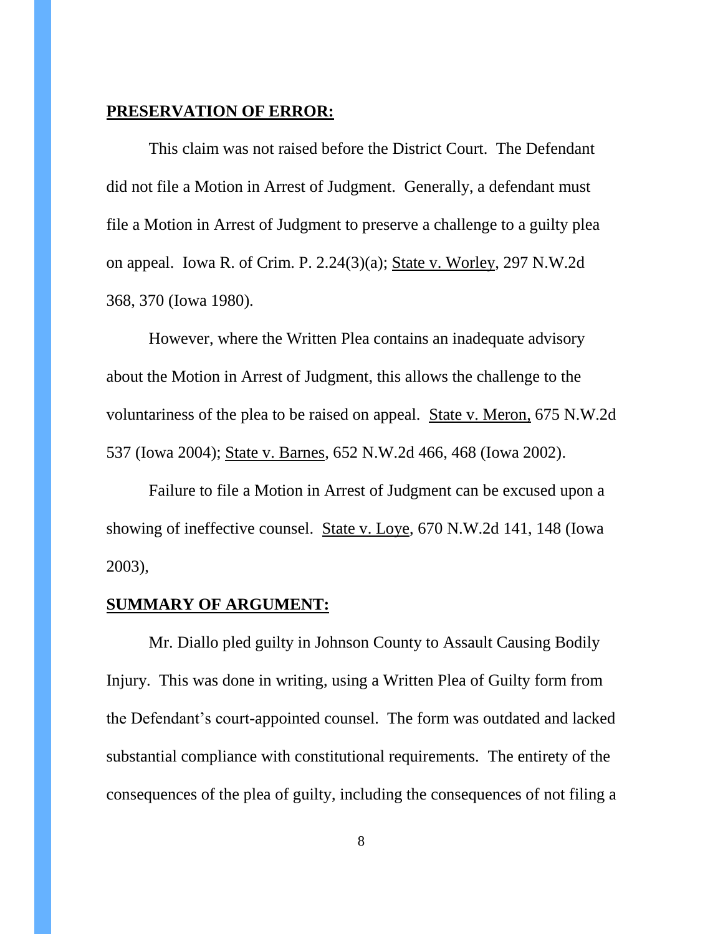#### **PRESERVATION OF ERROR:**

This claim was not raised before the District Court. The Defendant did not file a Motion in Arrest of Judgment. Generally, a defendant must file a Motion in Arrest of Judgment to preserve a challenge to a guilty plea on appeal. Iowa R. of Crim. P. 2.24(3)(a); State v. Worley, 297 N.W.2d 368, 370 (Iowa 1980).

However, where the Written Plea contains an inadequate advisory about the Motion in Arrest of Judgment, this allows the challenge to the voluntariness of the plea to be raised on appeal. State v. Meron, 675 N.W.2d 537 (Iowa 2004); State v. Barnes, 652 N.W.2d 466, 468 (Iowa 2002).

Failure to file a Motion in Arrest of Judgment can be excused upon a showing of ineffective counsel. State v. Loye, 670 N.W.2d 141, 148 (Iowa 2003),

#### **SUMMARY OF ARGUMENT:**

Mr. Diallo pled guilty in Johnson County to Assault Causing Bodily Injury. This was done in writing, using a Written Plea of Guilty form from the Defendant's court-appointed counsel. The form was outdated and lacked substantial compliance with constitutional requirements. The entirety of the consequences of the plea of guilty, including the consequences of not filing a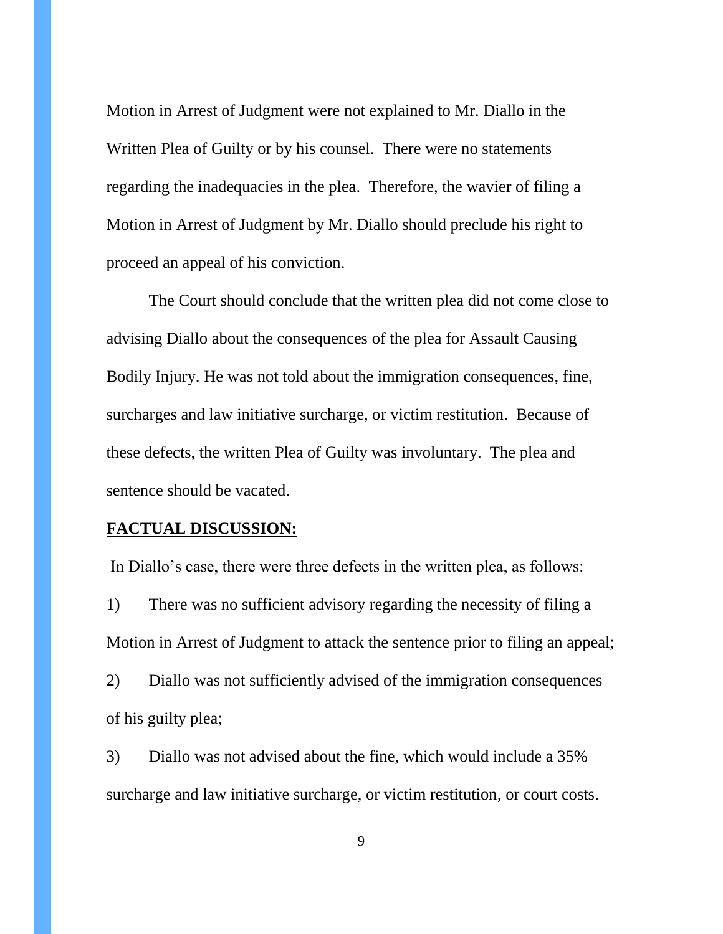Motion in Arrest of Judgment were not explained to Mr. Diallo in the Written Plea of Guilty or by his counsel. There were no statements regarding the inadequacies in the plea. Therefore, the wavier of filing a Motion in Arrest of Judgment by Mr. Diallo should preclude his right to proceed an appeal of his conviction.

The Court should conclude that the written plea did not come close to advising Diallo about the consequences of the plea for Assault Causing Bodily Injury. He was not told about the immigration consequences, fine, surcharges and law initiative surcharge, or victim restitution. Because of these defects, the written Plea of Guilty was involuntary. The plea and sentence should be vacated.

#### **FACTUAL DISCUSSION:**

In Diallo's case, there were three defects in the written plea, as follows:

1) There was no sufficient advisory regarding the necessity of filing a Motion in Arrest of Judgment to attack the sentence prior to filing an appeal;

2) Diallo was not sufficiently advised of the immigration consequences of his guilty plea;

3) Diallo was not advised about the fine, which would include a 35% surcharge and law initiative surcharge, or victim restitution, or court costs.

9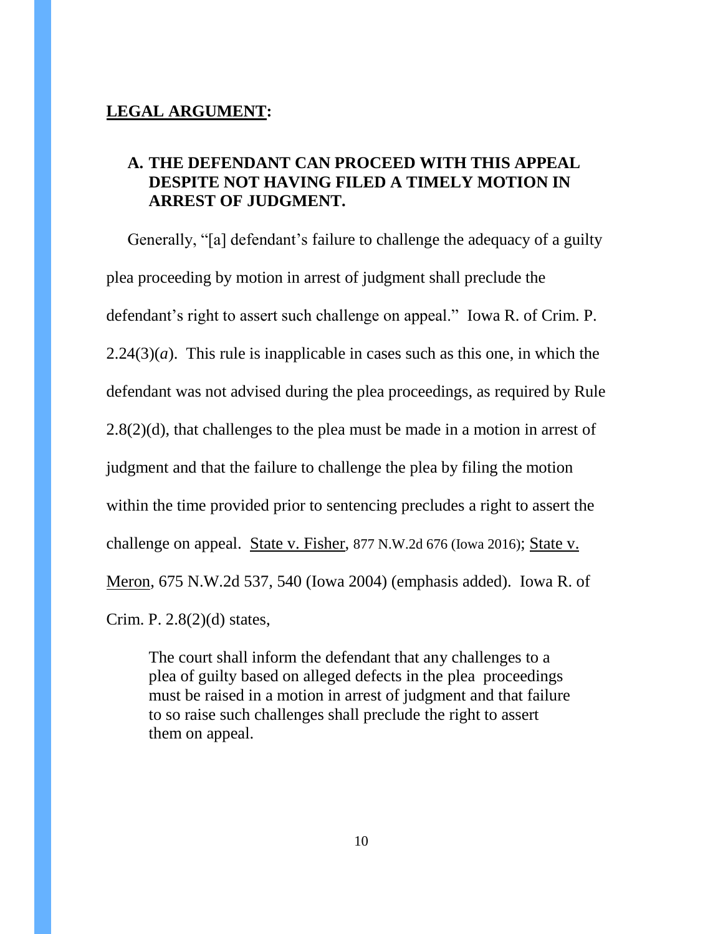# **LEGAL ARGUMENT:**

# **A. THE DEFENDANT CAN PROCEED WITH THIS APPEAL DESPITE NOT HAVING FILED A TIMELY MOTION IN ARREST OF JUDGMENT.**

Generally, "[a] defendant's failure to challenge the adequacy of a guilty plea proceeding by motion in arrest of judgment shall preclude the defendant's right to assert such challenge on appeal." Iowa R. of Crim. P.  $2.24(3)(a)$ . This rule is inapplicable in cases such as this one, in which the defendant was not advised during the plea proceedings, as required by Rule  $2.8(2)(d)$ , that challenges to the plea must be made in a motion in arrest of judgment and that the failure to challenge the plea by filing the motion within the time provided prior to sentencing precludes a right to assert the challenge on appeal. State v. Fisher, 877 N.W.2d 676 (Iowa 2016); State v. Meron, 675 N.W.2d 537, 540 (Iowa 2004) (emphasis added). Iowa R. of Crim. P. 2.8(2)(d) states,

The court shall inform the defendant that any challenges to a plea of guilty based on alleged defects in the plea proceedings must be raised in a motion in arrest of judgment and that failure to so raise such challenges shall preclude the right to assert them on appeal.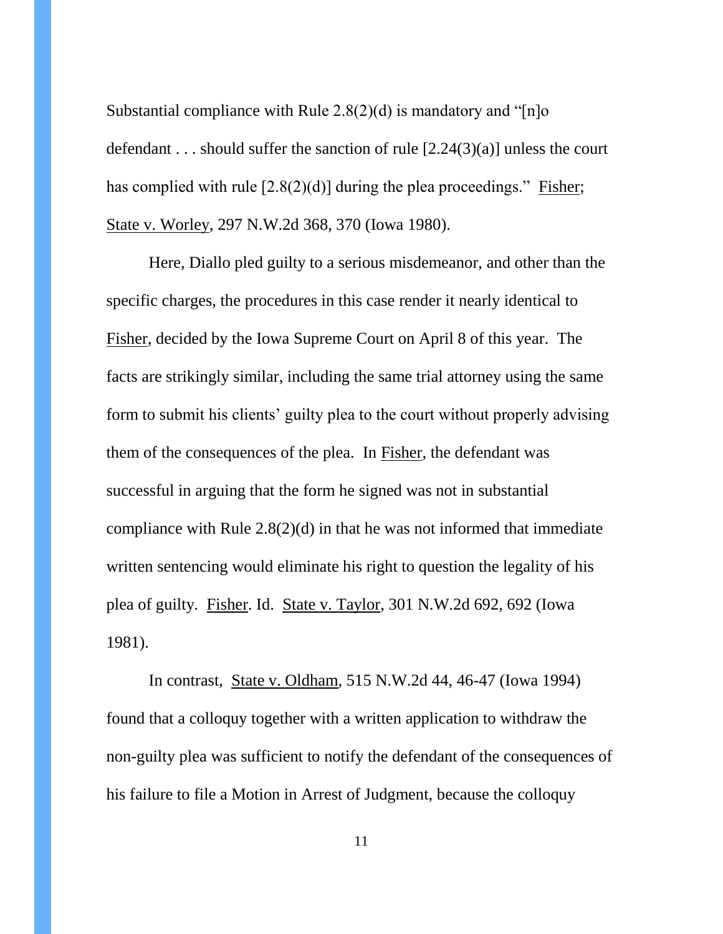Substantial compliance with Rule  $2.8(2)(d)$  is mandatory and "[n]o defendant . . . should suffer the sanction of rule  $[2.24(3)(a)]$  unless the court has complied with rule  $[2.8(2)(d)]$  during the plea proceedings." Fisher; State v. Worley, 297 N.W.2d 368, 370 (Iowa 1980).

Here, Diallo pled guilty to a serious misdemeanor, and other than the specific charges, the procedures in this case render it nearly identical to Fisher, decided by the Iowa Supreme Court on April 8 of this year. The facts are strikingly similar, including the same trial attorney using the same form to submit his clients' guilty plea to the court without properly advising them of the consequences of the plea. In Fisher, the defendant was successful in arguing that the form he signed was not in substantial compliance with Rule 2.8(2)(d) in that he was not informed that immediate written sentencing would eliminate his right to question the legality of his plea of guilty. Fisher. Id. State v. Taylor, 301 N.W.2d 692, 692 (Iowa 1981).

In contrast, State v. Oldham, 515 N.W.2d 44, 46-47 (Iowa 1994) found that a colloquy together with a written application to withdraw the non-guilty plea was sufficient to notify the defendant of the consequences of his failure to file a Motion in Arrest of Judgment, because the colloquy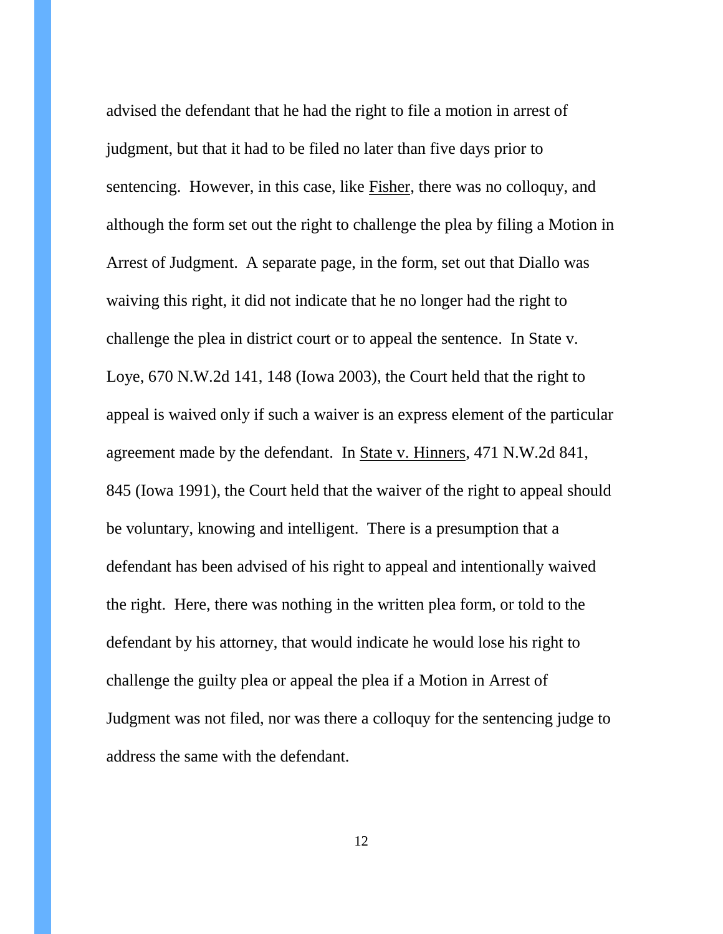advised the defendant that he had the right to file a motion in arrest of judgment, but that it had to be filed no later than five days prior to sentencing. However, in this case, like Fisher, there was no colloquy, and although the form set out the right to challenge the plea by filing a Motion in Arrest of Judgment. A separate page, in the form, set out that Diallo was waiving this right, it did not indicate that he no longer had the right to challenge the plea in district court or to appeal the sentence. In State v. Loye, 670 N.W.2d 141, 148 (Iowa 2003), the Court held that the right to appeal is waived only if such a waiver is an express element of the particular agreement made by the defendant. In State v. Hinners, 471 N.W.2d 841, 845 (Iowa 1991), the Court held that the waiver of the right to appeal should be voluntary, knowing and intelligent. There is a presumption that a defendant has been advised of his right to appeal and intentionally waived the right. Here, there was nothing in the written plea form, or told to the defendant by his attorney, that would indicate he would lose his right to challenge the guilty plea or appeal the plea if a Motion in Arrest of Judgment was not filed, nor was there a colloquy for the sentencing judge to address the same with the defendant.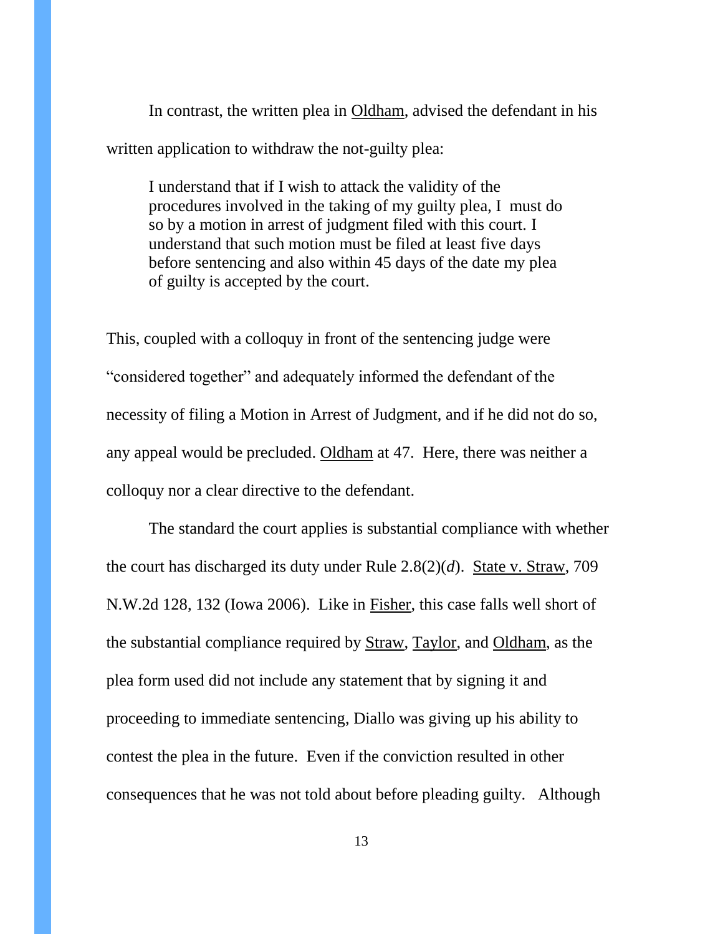In contrast, the written plea in Oldham, advised the defendant in his written application to withdraw the not-guilty plea:

I understand that if I wish to attack the validity of the procedures involved in the taking of my guilty plea, I must do so by a motion in arrest of judgment filed with this court. I understand that such motion must be filed at least five days before sentencing and also within 45 days of the date my plea of guilty is accepted by the court.

This, coupled with a colloquy in front of the sentencing judge were "considered together" and adequately informed the defendant of the necessity of filing a Motion in Arrest of Judgment, and if he did not do so, any appeal would be precluded. Oldham at 47. Here, there was neither a colloquy nor a clear directive to the defendant.

The standard the court applies is substantial compliance with whether the court has discharged its duty under Rule 2.8(2)(*d*). State v. Straw, 709 N.W.2d 128, 132 (Iowa 2006). Like in Fisher, this case falls well short of the substantial compliance required by Straw, Taylor, and Oldham, as the plea form used did not include any statement that by signing it and proceeding to immediate sentencing, Diallo was giving up his ability to contest the plea in the future. Even if the conviction resulted in other consequences that he was not told about before pleading guilty. Although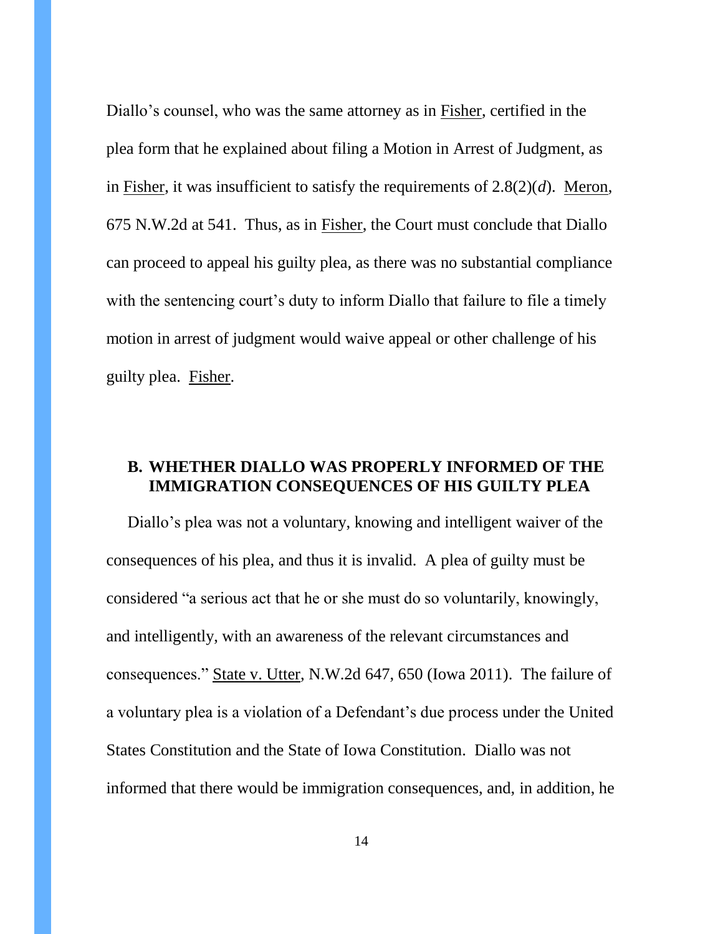Diallo's counsel, who was the same attorney as in Fisher, certified in the plea form that he explained about filing a Motion in Arrest of Judgment, as in Fisher, it was insufficient to satisfy the requirements of 2.8(2)(*d*). Meron, 675 N.W.2d at 541. Thus, as in Fisher, the Court must conclude that Diallo can proceed to appeal his guilty plea, as there was no substantial compliance with the sentencing court's duty to inform Diallo that failure to file a timely motion in arrest of judgment would waive appeal or other challenge of his guilty plea. Fisher.

# **B. WHETHER DIALLO WAS PROPERLY INFORMED OF THE IMMIGRATION CONSEQUENCES OF HIS GUILTY PLEA**

Diallo's plea was not a voluntary, knowing and intelligent waiver of the consequences of his plea, and thus it is invalid. A plea of guilty must be considered "a serious act that he or she must do so voluntarily, knowingly, and intelligently, with an awareness of the relevant circumstances and consequences." State v. Utter, N.W.2d 647, 650 (Iowa 2011). The failure of a voluntary plea is a violation of a Defendant's due process under the United States Constitution and the State of Iowa Constitution. Diallo was not informed that there would be immigration consequences, and, in addition, he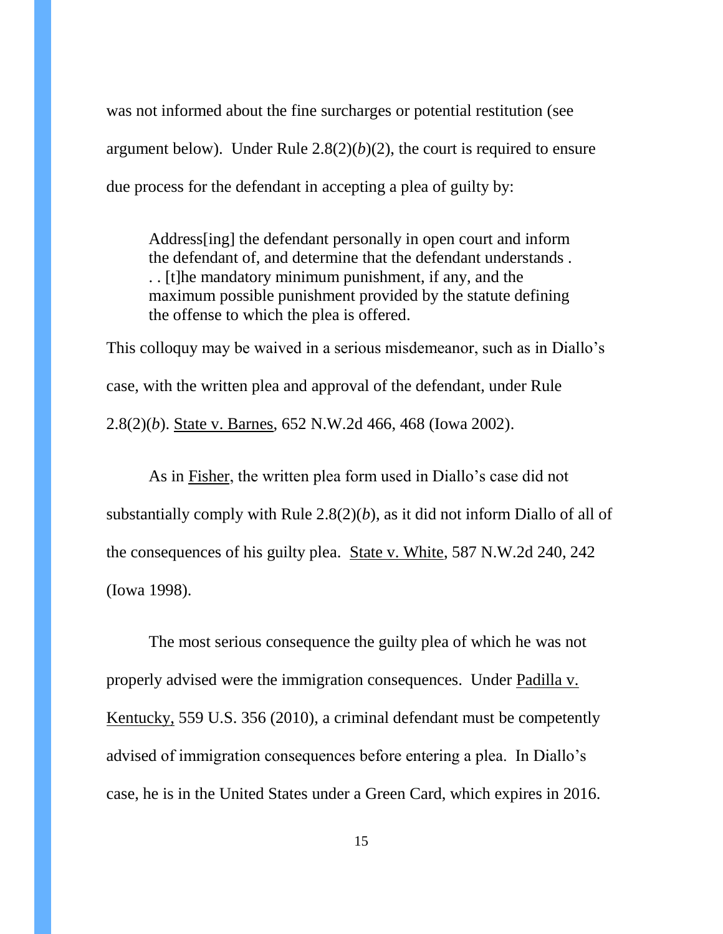was not informed about the fine surcharges or potential restitution (see argument below). Under Rule  $2.8(2)(b)(2)$ , the court is required to ensure due process for the defendant in accepting a plea of guilty by:

Address[ing] the defendant personally in open court and inform the defendant of, and determine that the defendant understands . . . [t]he mandatory minimum punishment, if any, and the maximum possible punishment provided by the statute defining the offense to which the plea is offered.

This colloquy may be waived in a serious misdemeanor, such as in Diallo's case, with the written plea and approval of the defendant, under Rule 2.8(2)(*b*). State v. Barnes, 652 N.W.2d 466, 468 (Iowa 2002).

As in Fisher, the written plea form used in Diallo's case did not substantially comply with Rule  $2.8(2)(b)$ , as it did not inform Diallo of all of the consequences of his guilty plea. State v. White, 587 N.W.2d 240, 242 (Iowa 1998).

The most serious consequence the guilty plea of which he was not properly advised were the immigration consequences. Under Padilla v. Kentucky, 559 U.S. 356 (2010), a criminal defendant must be competently advised of immigration consequences before entering a plea. In Diallo's case, he is in the United States under a Green Card, which expires in 2016.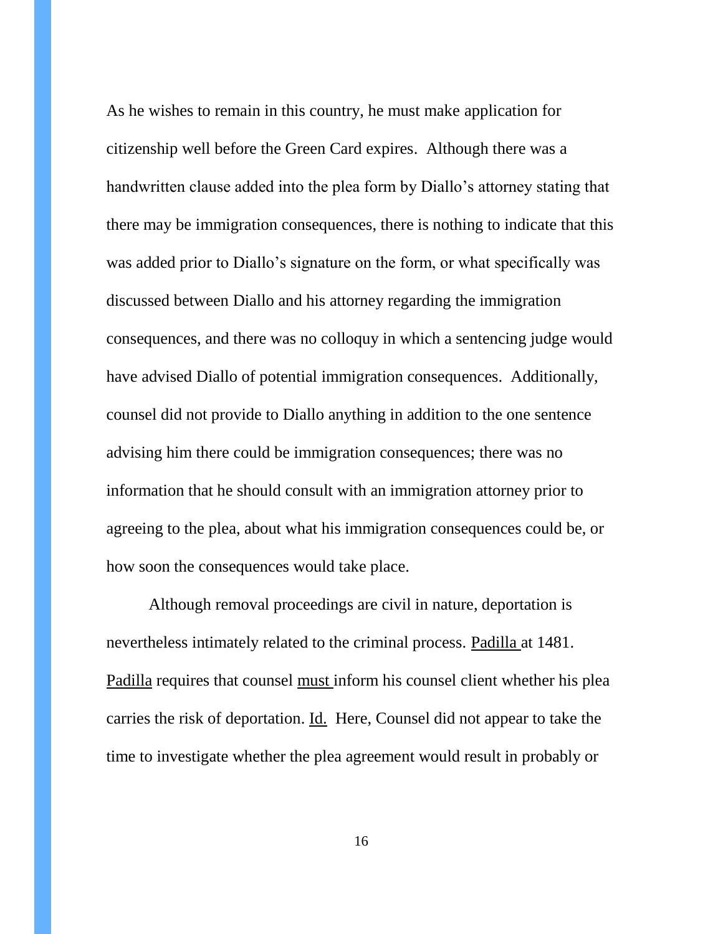As he wishes to remain in this country, he must make application for citizenship well before the Green Card expires. Although there was a handwritten clause added into the plea form by Diallo's attorney stating that there may be immigration consequences, there is nothing to indicate that this was added prior to Diallo's signature on the form, or what specifically was discussed between Diallo and his attorney regarding the immigration consequences, and there was no colloquy in which a sentencing judge would have advised Diallo of potential immigration consequences. Additionally, counsel did not provide to Diallo anything in addition to the one sentence advising him there could be immigration consequences; there was no information that he should consult with an immigration attorney prior to agreeing to the plea, about what his immigration consequences could be, or how soon the consequences would take place.

Although removal proceedings are civil in nature, deportation is nevertheless intimately related to the criminal process. Padilla at 1481. Padilla requires that counsel must inform his counsel client whether his plea carries the risk of deportation. Id. Here, Counsel did not appear to take the time to investigate whether the plea agreement would result in probably or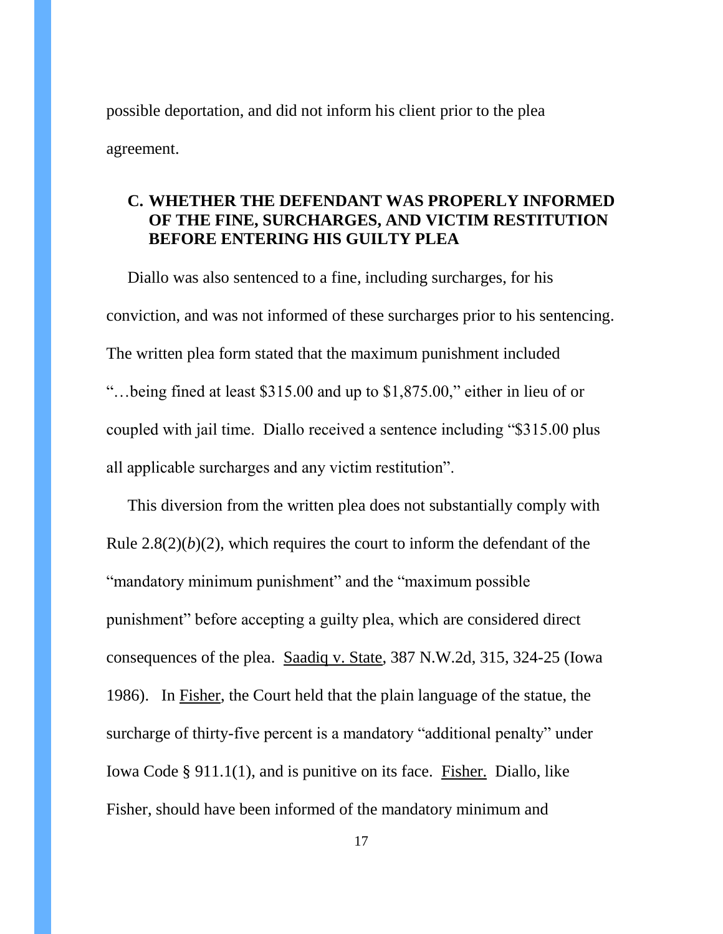possible deportation, and did not inform his client prior to the plea agreement.

# **C. WHETHER THE DEFENDANT WAS PROPERLY INFORMED OF THE FINE, SURCHARGES, AND VICTIM RESTITUTION BEFORE ENTERING HIS GUILTY PLEA**

Diallo was also sentenced to a fine, including surcharges, for his conviction, and was not informed of these surcharges prior to his sentencing. The written plea form stated that the maximum punishment included "…being fined at least \$315.00 and up to \$1,875.00," either in lieu of or coupled with jail time. Diallo received a sentence including "\$315.00 plus all applicable surcharges and any victim restitution".

This diversion from the written plea does not substantially comply with Rule  $2.8(2)(b)(2)$ , which requires the court to inform the defendant of the "mandatory minimum punishment" and the "maximum possible punishment" before accepting a guilty plea, which are considered direct consequences of the plea. Saadiq v. State, 387 N.W.2d, 315, 324-25 (Iowa 1986). In Fisher, the Court held that the plain language of the statue, the surcharge of thirty-five percent is a mandatory "additional penalty" under Iowa Code § 911.1(1), and is punitive on its face. Fisher. Diallo, like Fisher, should have been informed of the mandatory minimum and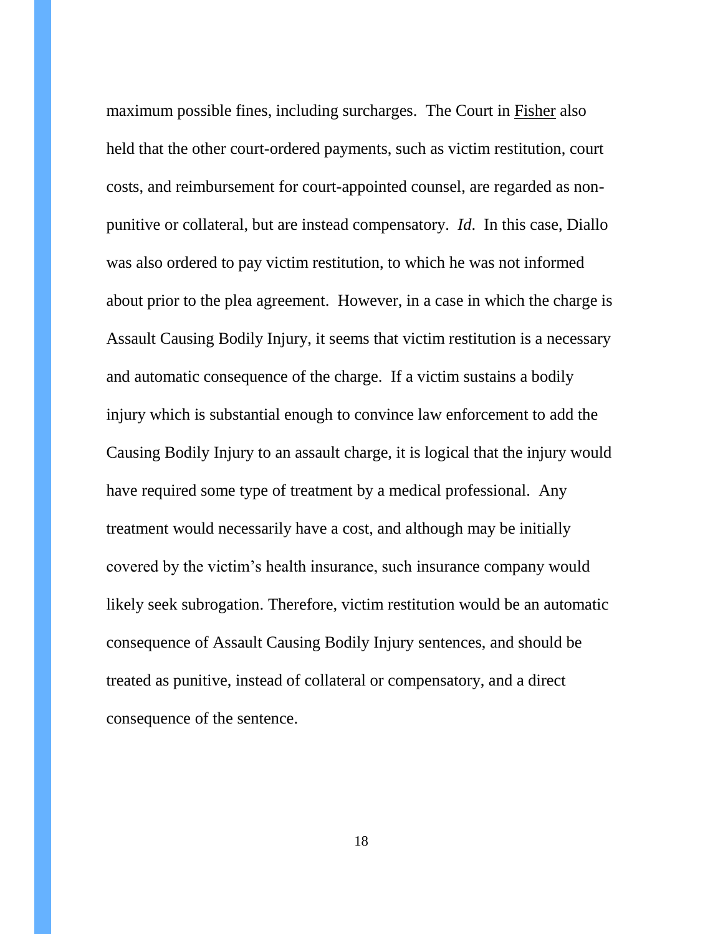maximum possible fines, including surcharges. The Court in Fisher also held that the other court-ordered payments, such as victim restitution, court costs, and reimbursement for court-appointed counsel, are regarded as nonpunitive or collateral, but are instead compensatory. *Id*. In this case, Diallo was also ordered to pay victim restitution, to which he was not informed about prior to the plea agreement. However, in a case in which the charge is Assault Causing Bodily Injury, it seems that victim restitution is a necessary and automatic consequence of the charge. If a victim sustains a bodily injury which is substantial enough to convince law enforcement to add the Causing Bodily Injury to an assault charge, it is logical that the injury would have required some type of treatment by a medical professional. Any treatment would necessarily have a cost, and although may be initially covered by the victim's health insurance, such insurance company would likely seek subrogation. Therefore, victim restitution would be an automatic consequence of Assault Causing Bodily Injury sentences, and should be treated as punitive, instead of collateral or compensatory, and a direct consequence of the sentence.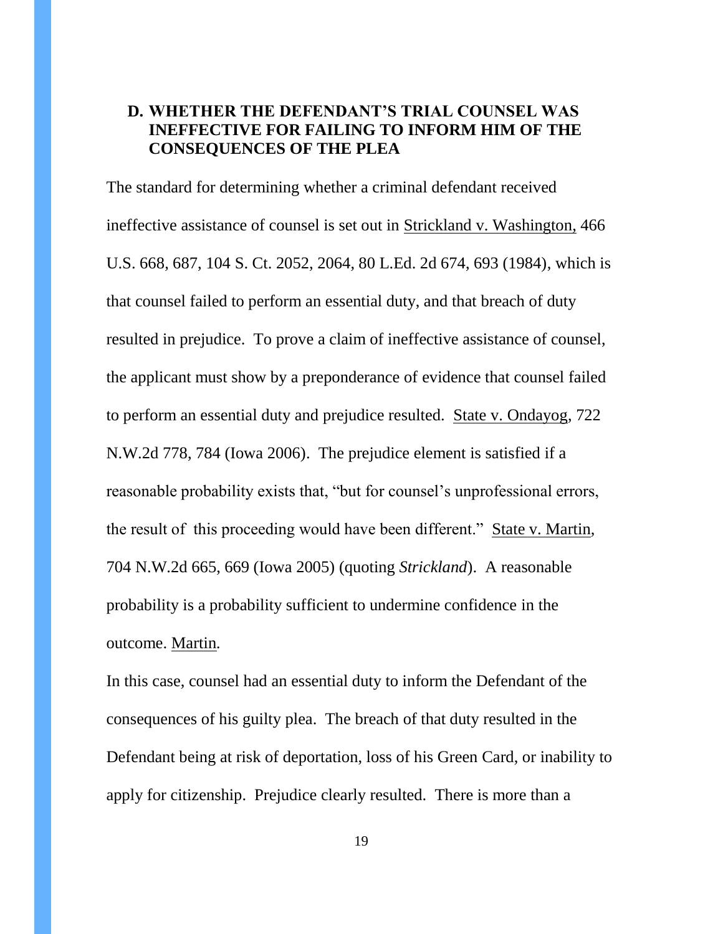# **D. WHETHER THE DEFENDANT'S TRIAL COUNSEL WAS INEFFECTIVE FOR FAILING TO INFORM HIM OF THE CONSEQUENCES OF THE PLEA**

The standard for determining whether a criminal defendant received ineffective assistance of counsel is set out in Strickland v. Washington, 466 U.S. 668, 687, 104 S. Ct. 2052, 2064, 80 L.Ed. 2d 674, 693 (1984), which is that counsel failed to perform an essential duty, and that breach of duty resulted in prejudice. To prove a claim of ineffective assistance of counsel, the applicant must show by a preponderance of evidence that counsel failed to perform an essential duty and prejudice resulted. State v. Ondayog, 722 N.W.2d 778, 784 (Iowa 2006). The prejudice element is satisfied if a reasonable probability exists that, "but for counsel's unprofessional errors, the result of this proceeding would have been different." State v. Martin*,*  704 N.W.2d 665, 669 (Iowa 2005) (quoting *Strickland*). A reasonable probability is a probability sufficient to undermine confidence in the outcome. Martin*.*

In this case, counsel had an essential duty to inform the Defendant of the consequences of his guilty plea. The breach of that duty resulted in the Defendant being at risk of deportation, loss of his Green Card, or inability to apply for citizenship. Prejudice clearly resulted. There is more than a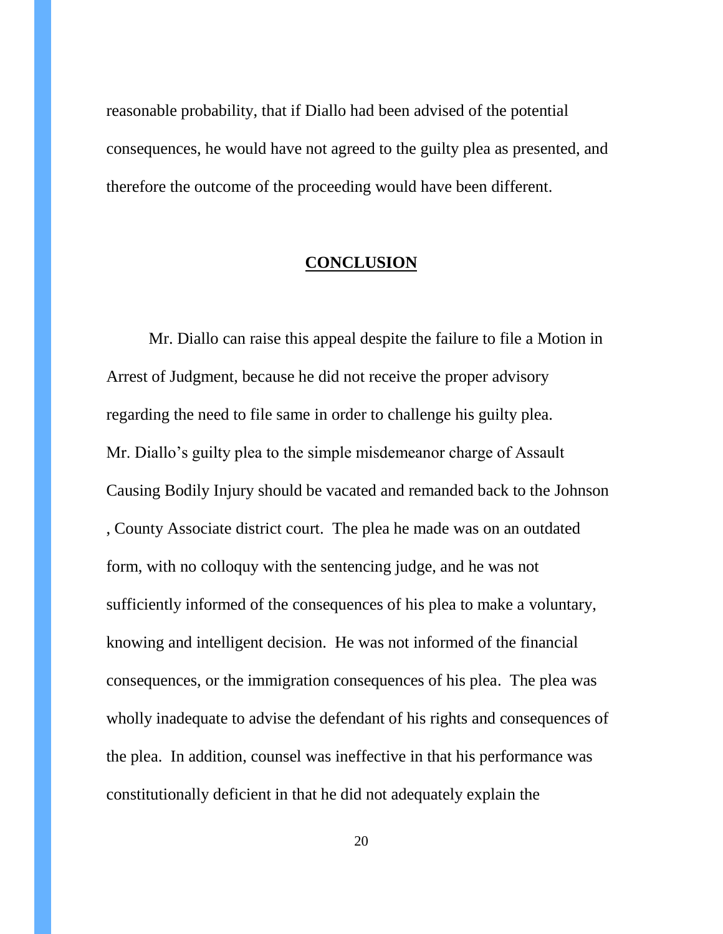reasonable probability, that if Diallo had been advised of the potential consequences, he would have not agreed to the guilty plea as presented, and therefore the outcome of the proceeding would have been different.

#### **CONCLUSION**

Mr. Diallo can raise this appeal despite the failure to file a Motion in Arrest of Judgment, because he did not receive the proper advisory regarding the need to file same in order to challenge his guilty plea. Mr. Diallo's guilty plea to the simple misdemeanor charge of Assault Causing Bodily Injury should be vacated and remanded back to the Johnson , County Associate district court. The plea he made was on an outdated form, with no colloquy with the sentencing judge, and he was not sufficiently informed of the consequences of his plea to make a voluntary, knowing and intelligent decision. He was not informed of the financial consequences, or the immigration consequences of his plea. The plea was wholly inadequate to advise the defendant of his rights and consequences of the plea. In addition, counsel was ineffective in that his performance was constitutionally deficient in that he did not adequately explain the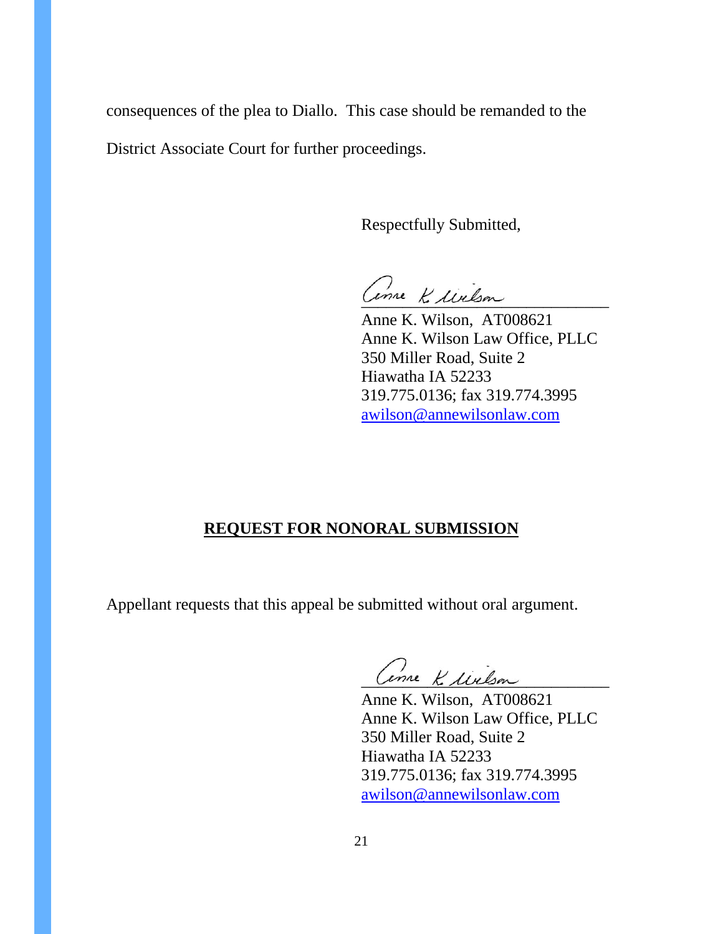consequences of the plea to Diallo. This case should be remanded to the District Associate Court for further proceedings.

Respectfully Submitted,

Come K. Welson

Anne K. Wilson, AT008621 Anne K. Wilson Law Office, PLLC 350 Miller Road, Suite 2 Hiawatha IA 52233 319.775.0136; fax 319.774.3995 awilson@annewilsonlaw.com

# **REQUEST FOR NONORAL SUBMISSION**

Appellant requests that this appeal be submitted without oral argument.

Come K. Milson

Anne K. Wilson, AT008621 Anne K. Wilson Law Office, PLLC 350 Miller Road, Suite 2 Hiawatha IA 52233 319.775.0136; fax 319.774.3995 awilson@annewilsonlaw.com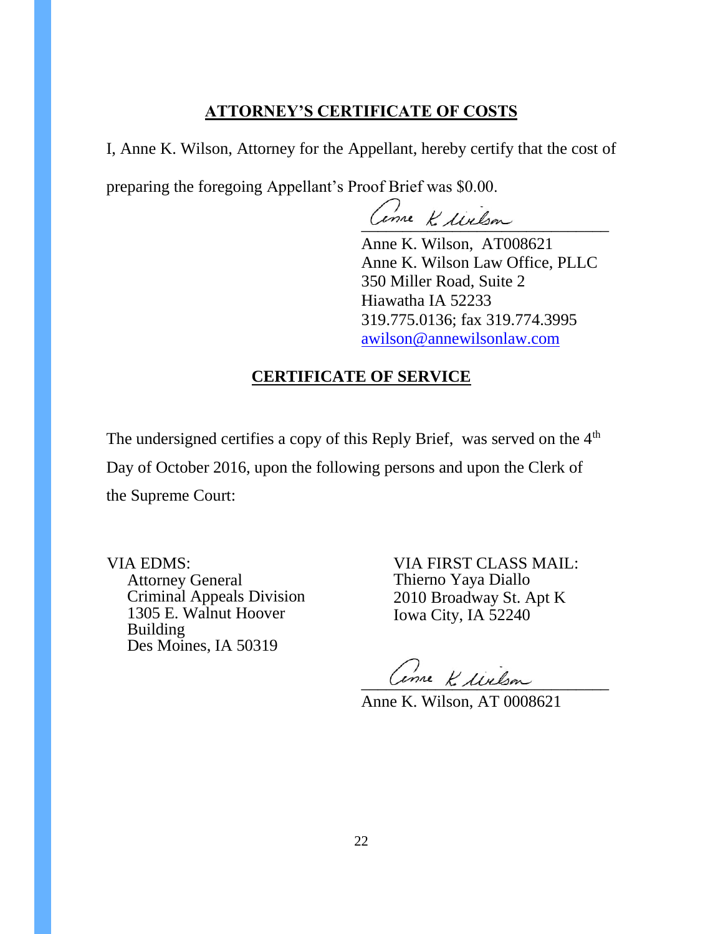# **ATTORNEY'S CERTIFICATE OF COSTS**

I, Anne K. Wilson, Attorney for the Appellant, hereby certify that the cost of

preparing the foregoing Appellant's Proof Brief was \$0.00.

Cenne K. Milson

Anne K. Wilson, AT008621 Anne K. Wilson Law Office, PLLC 350 Miller Road, Suite 2 Hiawatha IA 52233 319.775.0136; fax 319.774.3995 awilson@annewilsonlaw.com

# **CERTIFICATE OF SERVICE**

The undersigned certifies a copy of this Reply Brief, was served on the  $4<sup>th</sup>$ Day of October 2016, upon the following persons and upon the Clerk of the Supreme Court:

VIA EDMS: Attorney General Criminal Appeals Division 1305 E. Walnut Hoover Building Des Moines, IA 50319

VIA FIRST CLASS MAIL: Thierno Yaya Diallo 2010 Broadway St. Apt K Iowa City, IA 52240

mre Ke lixlan

Anne K. Wilson, AT 0008621